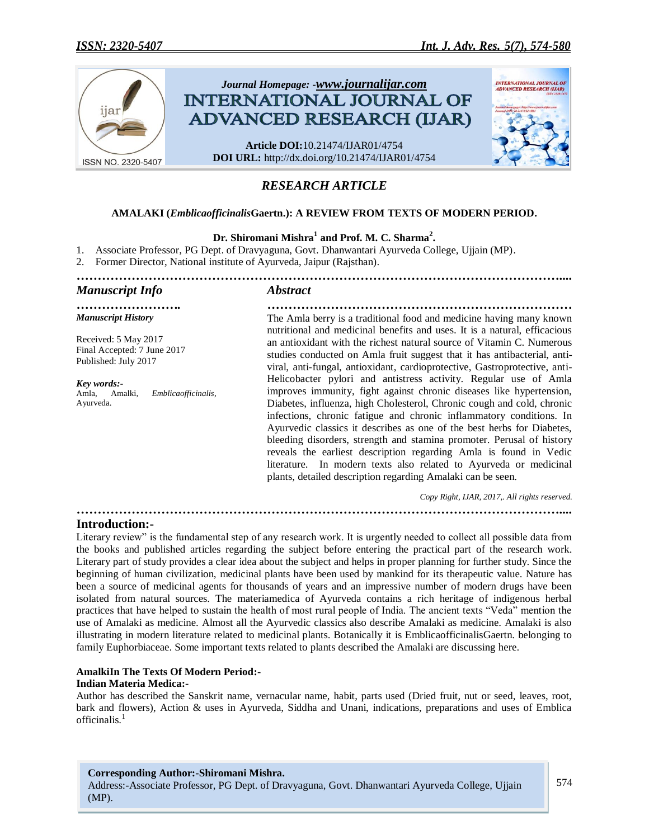

# *RESEARCH ARTICLE*

# **AMALAKI (***Emblicaofficinalis***Gaertn.): A REVIEW FROM TEXTS OF MODERN PERIOD.**

# **Dr. Shiromani Mishra<sup>1</sup> and Prof. M. C. Sharma<sup>2</sup> .**

*……………………………………………………………………………………………………....*

1. Associate Professor, PG Dept. of Dravyaguna, Govt. Dhanwantari Ayurveda College, Ujjain (MP).

2. Former Director, National institute of Ayurveda, Jaipur (Rajsthan).

# *Manuscript Info Abstract*

*Manuscript History* Received: 5 May 2017 Final Accepted: 7 June 2017 Published: July 2017

*Key words:-* Amla, Amalki, *Emblicaofficinalis*, Ayurveda.

*……………………. ………………………………………………………………* The Amla berry is a traditional food and medicine having many known nutritional and medicinal benefits and uses. It is a natural, efficacious an antioxidant with the richest natural source of Vitamin C. Numerous studies conducted on Amla fruit suggest that it has antibacterial, antiviral, anti-fungal, antioxidant, cardioprotective, Gastroprotective, anti-Helicobacter pylori and antistress activity. Regular use of Amla improves immunity, fight against chronic diseases like hypertension, Diabetes, influenza, high Cholesterol, Chronic cough and cold, chronic infections, chronic fatigue and chronic inflammatory conditions. In Ayurvedic classics it describes as one of the best herbs for Diabetes, bleeding disorders, strength and stamina promoter. Perusal of history reveals the earliest description regarding Amla is found in Vedic literature. In modern texts also related to Ayurveda or medicinal plants, detailed description regarding Amalaki can be seen.

*Copy Right, IJAR, 2017,. All rights reserved.*

#### *……………………………………………………………………………………………………....* **Introduction:-**

Literary review" is the fundamental step of any research work. It is urgently needed to collect all possible data from the books and published articles regarding the subject before entering the practical part of the research work. Literary part of study provides a clear idea about the subject and helps in proper planning for further study. Since the beginning of human civilization, medicinal plants have been used by mankind for its therapeutic value. Nature has been a source of medicinal agents for thousands of years and an impressive number of modern drugs have been isolated from natural sources. The materiamedica of Ayurveda contains a rich heritage of indigenous herbal practices that have helped to sustain the health of most rural people of India. The ancient texts "Veda" mention the use of Amalaki as medicine. Almost all the Ayurvedic classics also describe Amalaki as medicine. Amalaki is also illustrating in modern literature related to medicinal plants. Botanically it is EmblicaofficinalisGaertn. belonging to family Euphorbiaceae. Some important texts related to plants described the Amalaki are discussing here.

#### **AmalkiIn The Texts Of Modern Period:-**

#### **Indian Materia Medica:-**

Author has described the Sanskrit name, vernacular name, habit, parts used (Dried fruit, nut or seed, leaves, root, bark and flowers), Action & uses in Ayurveda, Siddha and Unani, indications, preparations and uses of Emblica officinalis.<sup>1</sup>

#### **Corresponding Author:-Shiromani Mishra.**

Address:-Associate Professor, PG Dept. of Dravyaguna, Govt. Dhanwantari Ayurveda College, Ujjain (MP).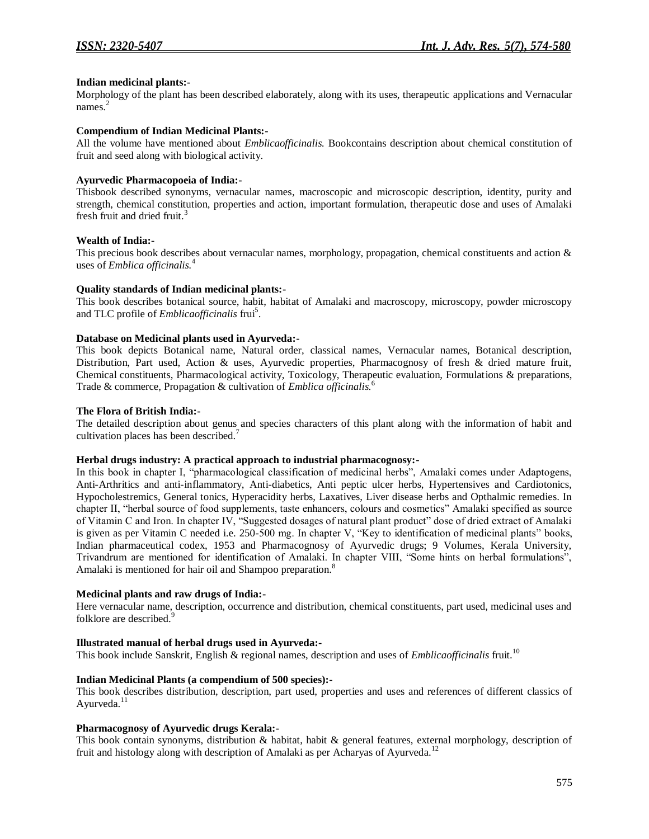#### **Indian medicinal plants:-**

Morphology of the plant has been described elaborately, along with its uses, therapeutic applications and Vernacular names. 2

#### **Compendium of Indian Medicinal Plants:-**

All the volume have mentioned about *Emblicaofficinalis.* Bookcontains description about chemical constitution of fruit and seed along with biological activity.

#### **Ayurvedic Pharmacopoeia of India:-**

Thisbook described synonyms, vernacular names, macroscopic and microscopic description, identity, purity and strength, chemical constitution, properties and action, important formulation, therapeutic dose and uses of Amalaki fresh fruit and dried fruit.<sup>3</sup>

#### **Wealth of India:-**

This precious book describes about vernacular names, morphology, propagation, chemical constituents and action & uses of *Emblica officinalis.*<sup>4</sup>

#### **Quality standards of Indian medicinal plants:-**

This book describes botanical source, habit, habitat of Amalaki and macroscopy, microscopy, powder microscopy and TLC profile of *Emblicaofficinalis* frui<sup>5</sup>.

#### **Database on Medicinal plants used in Ayurveda:-**

This book depicts Botanical name, Natural order, classical names, Vernacular names, Botanical description, Distribution, Part used, Action & uses, Ayurvedic properties, Pharmacognosy of fresh & dried mature fruit, Chemical constituents, Pharmacological activity, Toxicology, Therapeutic evaluation, Formulations & preparations, Trade & commerce, Propagation & cultivation of *Emblica officinalis.*<sup>6</sup>

#### **The Flora of British India:-**

The detailed description about genus and species characters of this plant along with the information of habit and cultivation places has been described.<sup>7</sup>

#### **Herbal drugs industry: A practical approach to industrial pharmacognosy:-**

In this book in chapter I, "pharmacological classification of medicinal herbs", Amalaki comes under Adaptogens, Anti-Arthritics and anti-inflammatory, Anti-diabetics, Anti peptic ulcer herbs, Hypertensives and Cardiotonics, Hypocholestremics, General tonics, Hyperacidity herbs, Laxatives, Liver disease herbs and Opthalmic remedies. In chapter II, "herbal source of food supplements, taste enhancers, colours and cosmetics" Amalaki specified as source of Vitamin C and Iron. In chapter IV, "Suggested dosages of natural plant product" dose of dried extract of Amalaki is given as per Vitamin C needed i.e. 250-500 mg. In chapter V, "Key to identification of medicinal plants" books, Indian pharmaceutical codex, 1953 and Pharmacognosy of Ayurvedic drugs; 9 Volumes, Kerala University, Trivandrum are mentioned for identification of Amalaki. In chapter VIII, "Some hints on herbal formulations", Amalaki is mentioned for hair oil and Shampoo preparation.<sup>8</sup>

#### **Medicinal plants and raw drugs of India:-**

Here vernacular name, description, occurrence and distribution, chemical constituents, part used, medicinal uses and folklore are described.<sup>9</sup>

#### **Illustrated manual of herbal drugs used in Ayurveda:-**

This book include Sanskrit, English & regional names, description and uses of *Emblicaofficinalis* fruit.<sup>10</sup>

# **Indian Medicinal Plants (a compendium of 500 species):-**

This book describes distribution, description, part used, properties and uses and references of different classics of Ayurveda.<sup>11</sup>

# **Pharmacognosy of Ayurvedic drugs Kerala:-**

This book contain synonyms, distribution & habitat, habit & general features, external morphology, description of fruit and histology along with description of Amalaki as per Acharyas of Ayurveda.<sup>12</sup>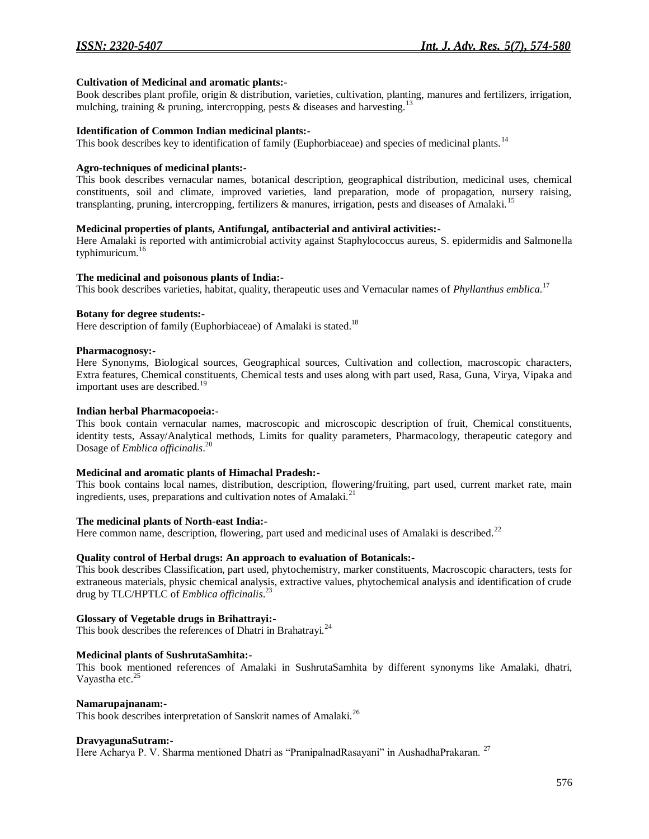#### **Cultivation of Medicinal and aromatic plants:-**

Book describes plant profile, origin & distribution, varieties, cultivation, planting, manures and fertilizers, irrigation, mulching, training & pruning, intercropping, pests & diseases and harvesting.<sup>13</sup>

#### **Identification of Common Indian medicinal plants:-**

This book describes key to identification of family (Euphorbiaceae) and species of medicinal plants.<sup>14</sup>

#### **Agro-techniques of medicinal plants:-**

This book describes vernacular names, botanical description, geographical distribution, medicinal uses, chemical constituents, soil and climate, improved varieties, land preparation, mode of propagation, nursery raising, transplanting, pruning, intercropping, fertilizers & manures, irrigation, pests and diseases of Amalaki.<sup>15</sup>

### **Medicinal properties of plants, Antifungal, antibacterial and antiviral activities:-**

Here Amalaki is reported with antimicrobial activity against Staphylococcus aureus, S. epidermidis and Salmonella typhimuricum.<sup>16</sup>

#### **The medicinal and poisonous plants of India:-**

This book describes varieties, habitat, quality, therapeutic uses and Vernacular names of *Phyllanthus emblica.*<sup>17</sup>

# **Botany for degree students:-**

Here description of family (Euphorbiaceae) of Amalaki is stated.<sup>18</sup>

#### **Pharmacognosy:-**

Here Synonyms, Biological sources, Geographical sources, Cultivation and collection, macroscopic characters, Extra features, Chemical constituents, Chemical tests and uses along with part used, Rasa, Guna, Virya, Vipaka and important uses are described.<sup>19</sup>

#### **Indian herbal Pharmacopoeia:-**

This book contain vernacular names, macroscopic and microscopic description of fruit, Chemical constituents, identity tests, Assay/Analytical methods, Limits for quality parameters, Pharmacology, therapeutic category and Dosage of *Emblica officinalis*. 20

# **Medicinal and aromatic plants of Himachal Pradesh:-**

This book contains local names, distribution, description, flowering/fruiting, part used, current market rate, main ingredients, uses, preparations and cultivation notes of Amalaki. $^{21}$ 

#### **The medicinal plants of North-east India:-**

Here common name, description, flowering, part used and medicinal uses of Amalaki is described.<sup>22</sup>

# **Quality control of Herbal drugs: An approach to evaluation of Botanicals:-**

This book describes Classification, part used, phytochemistry, marker constituents, Macroscopic characters, tests for extraneous materials, physic chemical analysis, extractive values, phytochemical analysis and identification of crude drug by TLC/HPTLC of *Emblica officinalis*. 23

# **Glossary of Vegetable drugs in Brihattrayi:-**

This book describes the references of Dhatri in Brahatrayi.<sup>24</sup>

# **Medicinal plants of SushrutaSamhita:-**

This book mentioned references of Amalaki in SushrutaSamhita by different synonyms like Amalaki, dhatri, Vayastha etc.<sup>25</sup>

#### **Namarupajnanam:-**

This book describes interpretation of Sanskrit names of Amalaki.<sup>26</sup>

#### **DravyagunaSutram:-**

Here Acharya P. V. Sharma mentioned Dhatri as "PranipalnadRasayani" in AushadhaPrakaran. <sup>27</sup>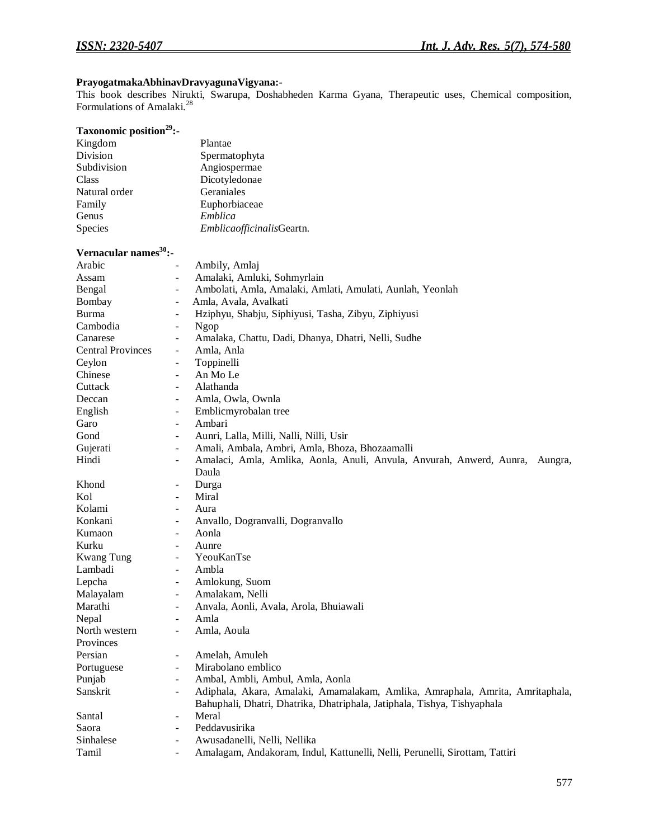# **PrayogatmakaAbhinavDravyagunaVigyana:-**

This book describes Nirukti, Swarupa, Doshabheden Karma Gyana, Therapeutic uses, Chemical composition, Formulations of Amalaki.<sup>28</sup>

| Taxonomic position <sup>29</sup> :- |                                                                                                             |
|-------------------------------------|-------------------------------------------------------------------------------------------------------------|
| Kingdom                             | Plantae                                                                                                     |
| Division                            | Spermatophyta                                                                                               |
| Subdivision                         | Angiospermae                                                                                                |
| Class                               | Dicotyledonae                                                                                               |
| Natural order                       | Geraniales                                                                                                  |
| Family                              | Euphorbiaceae                                                                                               |
| Genus                               | Emblica                                                                                                     |
| Species                             | EmblicaofficinalisGeartn.                                                                                   |
| Vernacular names <sup>30</sup> :-   |                                                                                                             |
| Arabic                              | Ambily, Amlaj                                                                                               |
| Assam                               | Amalaki, Amluki, Sohmyrlain<br>$\overline{\phantom{m}}$                                                     |
| Bengal                              | Ambolati, Amla, Amalaki, Amlati, Amulati, Aunlah, Yeonlah<br>$\overline{\phantom{a}}$                       |
| Bombay                              | Amla, Avala, Avalkati<br>$\overline{\phantom{a}}$                                                           |
| Burma                               | Hziphyu, Shabju, Siphiyusi, Tasha, Zibyu, Ziphiyusi<br>-                                                    |
| Cambodia                            | Ngop<br>$\overline{\phantom{a}}$                                                                            |
| Canarese                            | Amalaka, Chattu, Dadi, Dhanya, Dhatri, Nelli, Sudhe<br>$\overline{\phantom{a}}$                             |
| <b>Central Provinces</b>            | Amla, Anla<br>$\overline{\phantom{a}}$                                                                      |
| Ceylon                              | Toppinelli<br>$\overline{\phantom{a}}$                                                                      |
| Chinese                             | An Mo Le<br>$\overline{\phantom{a}}$                                                                        |
| Cuttack                             | Alathanda<br>$\blacksquare$                                                                                 |
| Deccan                              | Amla, Owla, Ownla<br>$\blacksquare$                                                                         |
| English                             | Emblicmyrobalan tree<br>$\overline{\phantom{a}}$                                                            |
| Garo                                | Ambari<br>$\overline{\phantom{a}}$                                                                          |
| Gond                                | Aunri, Lalla, Milli, Nalli, Nilli, Usir<br>$\overline{\phantom{m}}$                                         |
| Gujerati                            | Amali, Ambala, Ambri, Amla, Bhoza, Bhozaamalli<br>$\overline{\phantom{a}}$                                  |
| Hindi                               | Amalaci, Amla, Amlika, Aonla, Anuli, Anvula, Anvurah, Anwerd, Aunra,<br>Aungra,<br>$\overline{\phantom{a}}$ |
|                                     | Daula                                                                                                       |
| Khond                               | Durga<br>$\overline{\phantom{a}}$                                                                           |
| Kol                                 | Miral<br>$\overline{\phantom{a}}$                                                                           |
| Kolami                              | Aura<br>$\overline{\phantom{a}}$                                                                            |
| Konkani                             | Anvallo, Dogranvalli, Dogranvallo<br>$\overline{\phantom{a}}$                                               |
| Kumaon                              | Aonla<br>-                                                                                                  |
| Kurku                               | Aunre<br>$\blacksquare$                                                                                     |
| <b>Kwang Tung</b>                   | YeouKanTse<br>$\overline{\phantom{a}}$                                                                      |
| Lambadi                             | Ambla<br>$\overline{\phantom{a}}$                                                                           |
| Lepcha                              | Amlokung, Suom<br>$\overline{\phantom{a}}$                                                                  |
| Malayalam                           | Amalakam, Nelli                                                                                             |
| Marathi                             | Anvala, Aonli, Avala, Arola, Bhuiawali                                                                      |
| Nepal                               | Amla                                                                                                        |
| North western                       | Amla, Aoula<br>$\overline{\phantom{a}}$                                                                     |
| Provinces                           |                                                                                                             |
| Persian                             | Amelah, Amuleh<br>-                                                                                         |
| Portuguese                          | Mirabolano emblico<br>$\overline{\phantom{a}}$                                                              |
| Punjab                              | Ambal, Ambli, Ambul, Amla, Aonla<br>$\overline{\phantom{a}}$                                                |
| Sanskrit                            | Adiphala, Akara, Amalaki, Amamalakam, Amlika, Amraphala, Amrita, Amritaphala,<br>$\overline{\phantom{a}}$   |
|                                     | Bahuphali, Dhatri, Dhatrika, Dhatriphala, Jatiphala, Tishya, Tishyaphala                                    |
| Santal                              | Meral<br>$\overline{\phantom{a}}$                                                                           |
| Saora                               | Peddavusirika<br>$\overline{\phantom{a}}$                                                                   |
| Sinhalese                           | Awusadanelli, Nelli, Nellika<br>$\overline{\phantom{a}}$                                                    |
| Tamil                               | Amalagam, Andakoram, Indul, Kattunelli, Nelli, Perunelli, Sirottam, Tattiri                                 |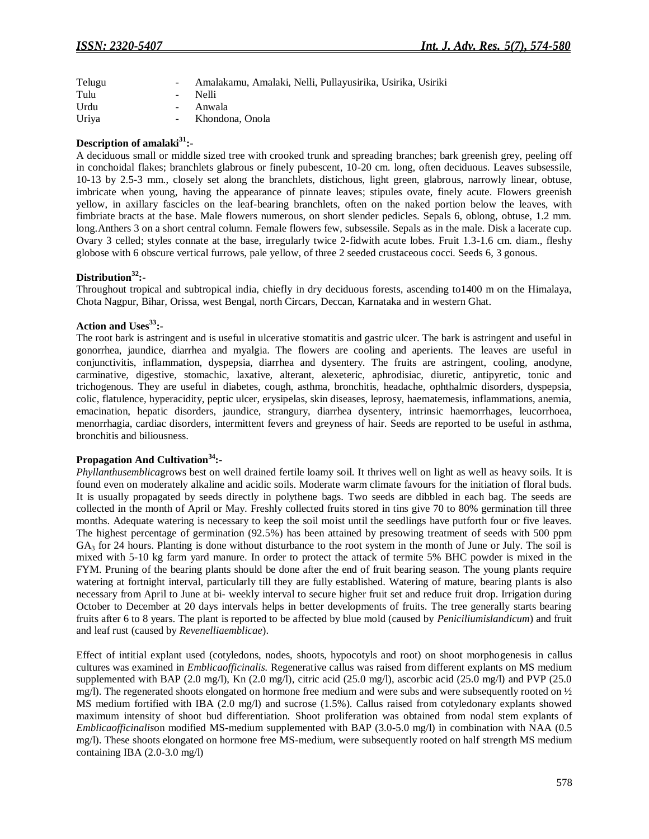| Telugu |                | Amalakamu, Amalaki, Nelli, Pullayusirika, Usirika, Usiriki |
|--------|----------------|------------------------------------------------------------|
| Tulu   | $\sim$ 10 $\,$ | <b>Nelli</b>                                               |
| Urdu   |                | Anwala                                                     |
| Uriya  | $\sim$         | Khondona, Onola                                            |

# **Description of amalaki<sup>31</sup>:-**

A deciduous small or middle sized tree with crooked trunk and spreading branches; bark greenish grey, peeling off in conchoidal flakes; branchlets glabrous or finely pubescent, 10-20 cm. long, often deciduous. Leaves subsessile, 10-13 by 2.5-3 mm., closely set along the branchlets, distichous, light green, glabrous, narrowly linear, obtuse, imbricate when young, having the appearance of pinnate leaves; stipules ovate, finely acute. Flowers greenish yellow, in axillary fascicles on the leaf-bearing branchlets, often on the naked portion below the leaves, with fimbriate bracts at the base. Male flowers numerous, on short slender pedicles. Sepals 6, oblong, obtuse, 1.2 mm. long.Anthers 3 on a short central column. Female flowers few, subsessile. Sepals as in the male. Disk a lacerate cup. Ovary 3 celled; styles connate at the base, irregularly twice 2-fidwith acute lobes. Fruit 1.3-1.6 cm. diam., fleshy globose with 6 obscure vertical furrows, pale yellow, of three 2 seeded crustaceous cocci. Seeds 6, 3 gonous.

#### **Distribution<sup>32</sup>:-**

Throughout tropical and subtropical india, chiefly in dry deciduous forests, ascending to1400 m on the Himalaya, Chota Nagpur, Bihar, Orissa, west Bengal, north Circars, Deccan, Karnataka and in western Ghat.

#### **Action and Uses<sup>33</sup>:-**

The root bark is astringent and is useful in ulcerative stomatitis and gastric ulcer. The bark is astringent and useful in gonorrhea, jaundice, diarrhea and myalgia. The flowers are cooling and aperients. The leaves are useful in conjunctivitis, inflammation, dyspepsia, diarrhea and dysentery. The fruits are astringent, cooling, anodyne, carminative, digestive, stomachic, laxative, alterant, alexeteric, aphrodisiac, diuretic, antipyretic, tonic and trichogenous. They are useful in diabetes, cough, asthma, bronchitis, headache, ophthalmic disorders, dyspepsia, colic, flatulence, hyperacidity, peptic ulcer, erysipelas, skin diseases, leprosy, haematemesis, inflammations, anemia, emacination, hepatic disorders, jaundice, strangury, diarrhea dysentery, intrinsic haemorrhages, leucorrhoea, menorrhagia, cardiac disorders, intermittent fevers and greyness of hair. Seeds are reported to be useful in asthma, bronchitis and biliousness.

# **Propagation And Cultivation<sup>34</sup>:-**

*Phyllanthusemblica*grows best on well drained fertile loamy soil. It thrives well on light as well as heavy soils. It is found even on moderately alkaline and acidic soils. Moderate warm climate favours for the initiation of floral buds. It is usually propagated by seeds directly in polythene bags. Two seeds are dibbled in each bag. The seeds are collected in the month of April or May. Freshly collected fruits stored in tins give 70 to 80% germination till three months. Adequate watering is necessary to keep the soil moist until the seedlings have putforth four or five leaves. The highest percentage of germination (92.5%) has been attained by presowing treatment of seeds with 500 ppm  $GA<sub>3</sub>$  for 24 hours. Planting is done without disturbance to the root system in the month of June or July. The soil is mixed with 5-10 kg farm yard manure. In order to protect the attack of termite 5% BHC powder is mixed in the FYM. Pruning of the bearing plants should be done after the end of fruit bearing season. The young plants require watering at fortnight interval, particularly till they are fully established. Watering of mature, bearing plants is also necessary from April to June at bi- weekly interval to secure higher fruit set and reduce fruit drop. Irrigation during October to December at 20 days intervals helps in better developments of fruits. The tree generally starts bearing fruits after 6 to 8 years. The plant is reported to be affected by blue mold (caused by *Peniciliumislandicum*) and fruit and leaf rust (caused by *Revenelliaemblicae*).

Effect of intitial explant used (cotyledons, nodes, shoots, hypocotyls and root) on shoot morphogenesis in callus cultures was examined in *Emblicaofficinalis.* Regenerative callus was raised from different explants on MS medium supplemented with BAP (2.0 mg/l), Kn (2.0 mg/l), citric acid (25.0 mg/l), ascorbic acid (25.0 mg/l) and PVP (25.0 mg/l). The regenerated shoots elongated on hormone free medium and were subs and were subsequently rooted on  $\frac{1}{2}$ MS medium fortified with IBA (2.0 mg/l) and sucrose (1.5%). Callus raised from cotyledonary explants showed maximum intensity of shoot bud differentiation. Shoot proliferation was obtained from nodal stem explants of *Emblicaofficinalis*on modified MS-medium supplemented with BAP (3.0-5.0 mg/l) in combination with NAA (0.5 mg/l). These shoots elongated on hormone free MS-medium, were subsequently rooted on half strength MS medium containing IBA (2.0-3.0 mg/l)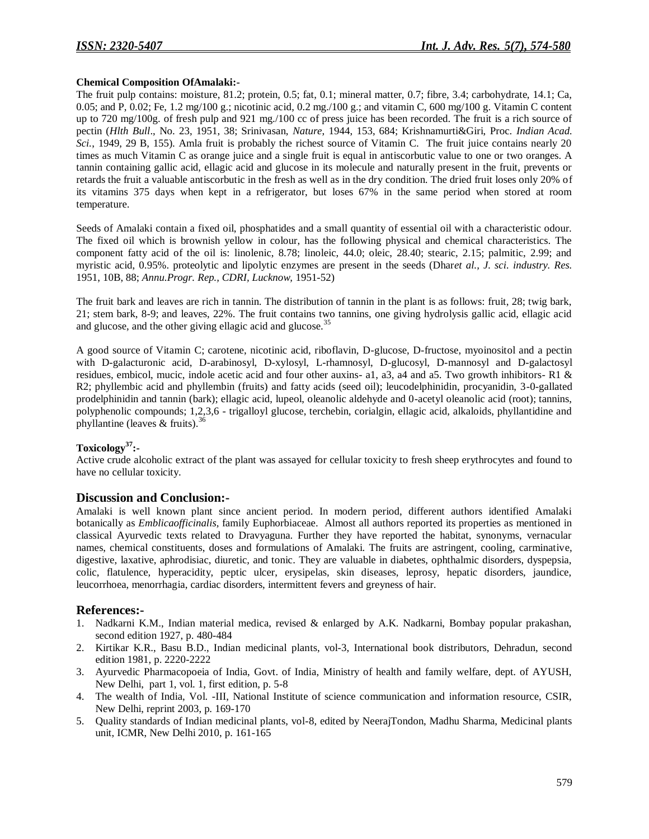# **Chemical Composition OfAmalaki:-**

The fruit pulp contains: moisture, 81.2; protein, 0.5; fat, 0.1; mineral matter, 0.7; fibre, 3.4; carbohydrate, 14.1; Ca, 0.05; and P, 0.02; Fe, 1.2 mg/100 g.; nicotinic acid, 0.2 mg./100 g.; and vitamin C, 600 mg/100 g. Vitamin C content up to 720 mg/100g. of fresh pulp and 921 mg./100 cc of press juice has been recorded. The fruit is a rich source of pectin (*Hlth Bull*., No. 23, 1951, 38; Srinivasan, *Nature*, 1944, 153, 684; Krishnamurti&Giri, Proc. *Indian Acad. Sci.*, 1949, 29 B, 155). Amla fruit is probably the richest source of Vitamin C. The fruit juice contains nearly 20 times as much Vitamin C as orange juice and a single fruit is equal in antiscorbutic value to one or two oranges. A tannin containing gallic acid, ellagic acid and glucose in its molecule and naturally present in the fruit, prevents or retards the fruit a valuable antiscorbutic in the fresh as well as in the dry condition. The dried fruit loses only 20% of its vitamins 375 days when kept in a refrigerator, but loses 67% in the same period when stored at room temperature.

Seeds of Amalaki contain a fixed oil, phosphatides and a small quantity of essential oil with a characteristic odour. The fixed oil which is brownish yellow in colour, has the following physical and chemical characteristics. The component fatty acid of the oil is: linolenic, 8.78; linoleic, 44.0; oleic, 28.40; stearic, 2.15; palmitic, 2.99; and myristic acid, 0.95%. proteolytic and lipolytic enzymes are present in the seeds (Dhar*et al., J. sci. industry. Res.* 1951, 10B, 88; *Annu.Progr. Rep., CDRI, Lucknow,* 1951-52)

The fruit bark and leaves are rich in tannin. The distribution of tannin in the plant is as follows: fruit, 28; twig bark, 21; stem bark, 8-9; and leaves, 22%. The fruit contains two tannins, one giving hydrolysis gallic acid, ellagic acid and glucose, and the other giving ellagic acid and glucose.<sup>35</sup>

A good source of Vitamin C; carotene, nicotinic acid, riboflavin, D-glucose, D-fructose, myoinositol and a pectin with D-galacturonic acid, D-arabinosyl, D-xylosyl, L-rhamnosyl, D-glucosyl, D-mannosyl and D-galactosyl residues, embicol, mucic, indole acetic acid and four other auxins- a1, a3, a4 and a5. Two growth inhibitors- R1 & R2; phyllembic acid and phyllembin (fruits) and fatty acids (seed oil); leucodelphinidin, procyanidin, 3-0-gallated prodelphinidin and tannin (bark); ellagic acid, lupeol, oleanolic aldehyde and 0-acetyl oleanolic acid (root); tannins, polyphenolic compounds; 1,2,3,6 - trigalloyl glucose, terchebin, corialgin, ellagic acid, alkaloids, phyllantidine and phyllantine (leaves & fruits).<sup>36</sup>

# **Toxicology<sup>37</sup>:-**

Active crude alcoholic extract of the plant was assayed for cellular toxicity to fresh sheep erythrocytes and found to have no cellular toxicity.

# **Discussion and Conclusion:-**

Amalaki is well known plant since ancient period. In modern period, different authors identified Amalaki botanically as *Emblicaofficinalis,* family Euphorbiaceae. Almost all authors reported its properties as mentioned in classical Ayurvedic texts related to Dravyaguna. Further they have reported the habitat, synonyms, vernacular names, chemical constituents, doses and formulations of Amalaki. The fruits are astringent, cooling, carminative, digestive, laxative, aphrodisiac, diuretic, and tonic. They are valuable in diabetes, ophthalmic disorders, dyspepsia, colic, flatulence, hyperacidity, peptic ulcer, erysipelas, skin diseases, leprosy, hepatic disorders, jaundice, leucorrhoea, menorrhagia, cardiac disorders, intermittent fevers and greyness of hair.

# **References:-**

- 1. Nadkarni K.M., Indian material medica, revised & enlarged by A.K. Nadkarni, Bombay popular prakashan, second edition 1927, p. 480-484
- 2. Kirtikar K.R., Basu B.D., Indian medicinal plants, vol-3, International book distributors, Dehradun, second edition 1981, p. 2220-2222
- 3. Ayurvedic Pharmacopoeia of India, Govt. of India, Ministry of health and family welfare, dept. of AYUSH, New Delhi, part 1, vol. 1, first edition, p. 5-8
- 4. The wealth of India, Vol. -III, National Institute of science communication and information resource, CSIR, New Delhi, reprint 2003, p. 169-170
- 5. Quality standards of Indian medicinal plants, vol-8, edited by NeerajTondon, Madhu Sharma, Medicinal plants unit, ICMR, New Delhi 2010, p. 161-165